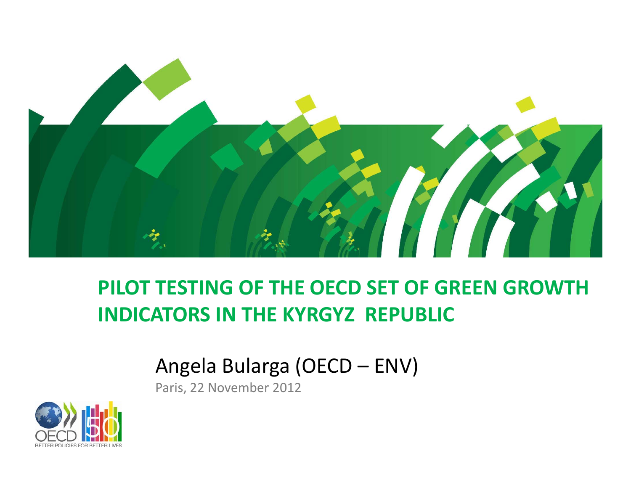

### **PILOT TESTING OF THE OECD SET OF GREEN GROWTH INDICATORS IN THE KYRGYZ REPUBLIC**

### Angela Bularga (OECD – ENV)

Paris, 22 November 2012

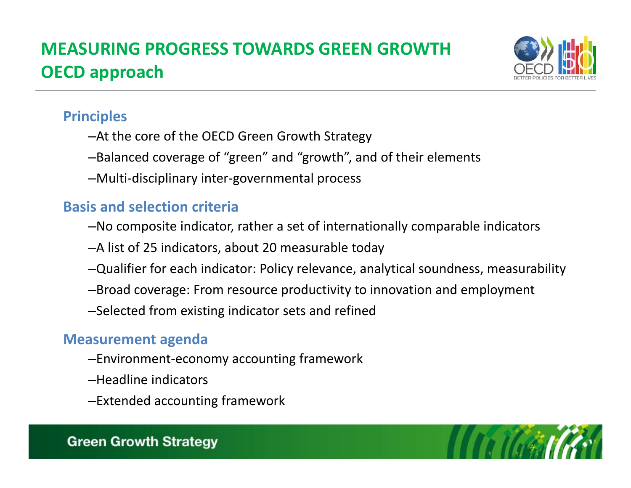### **MEASURING PROGRESS TOWARDS GREEN GROWTH OECD approach**



#### **Principles**

- –At the core of the OECD Green Growth Strategy
- –Balanced coverage of "green" and "growth", and of their elements
- –Multi‐disciplinary inter‐governmental process

#### **Basis and selection criteria**

- –No composite indicator, rather <sup>a</sup> set of internationally comparable indicators
- –A list of 25 indicators, about 20 measurable today
- –Qualifier for each indicator: Policy relevance, analytical soundness, measurability
- –Broad coverage: From resource productivity to innovation and employment
- –Selected from existing indicator sets and refined

#### **M t easurementagenda**

- –Environment‐economy accounting framework
- –Headline indicators
- –Extended accounting framework

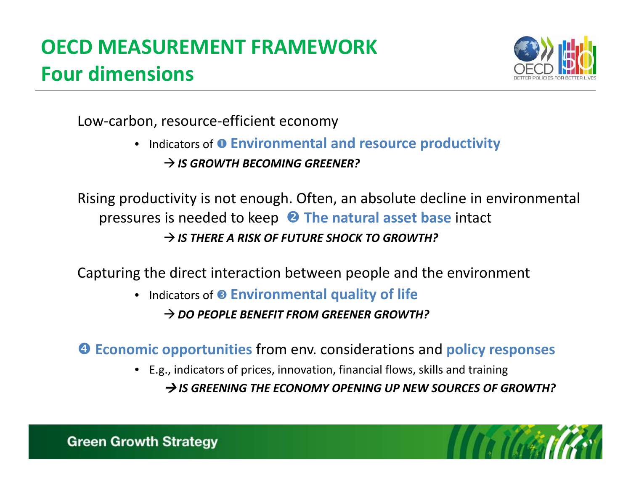# **OECD MEASUREMENT FRAMEWORK Four dimensions**



Low‐carbon, resource‐efficient economy

• Indicators of **Environmental and resource productivity** *IS GROWTH BECOMING GREENER?*

Rising productivity is not enough. Often, an absolute decline in environmental **pressures is needed to keep <sup>2</sup> The natural asset base intact** *IS THERE A RISK OF FUTURE SHOCK TO GROWTH?*

Capturing the direct interaction between people and the environment

• Indicators of **Environmental quality of life**

*DO PEOPLE BENEFIT FROM GREENER GROWTH?*

**Economic opportunities** from env. considerations and **policy responses**

• E.g., indicators of prices, innovation, financial flows, skills and training

*IS GREENING THE ECONOMY OPENING UP NEW SOURCES OF GROWTH?*

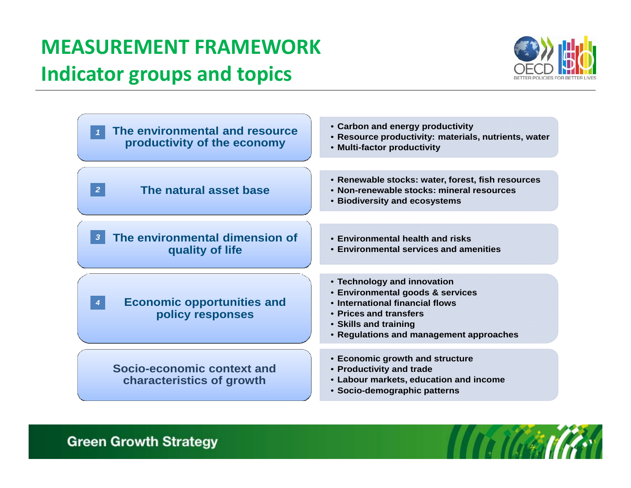## **MEASUREMENT FRAMEWORKIndicator groups and topics**





#### **Green Growth Strategy**

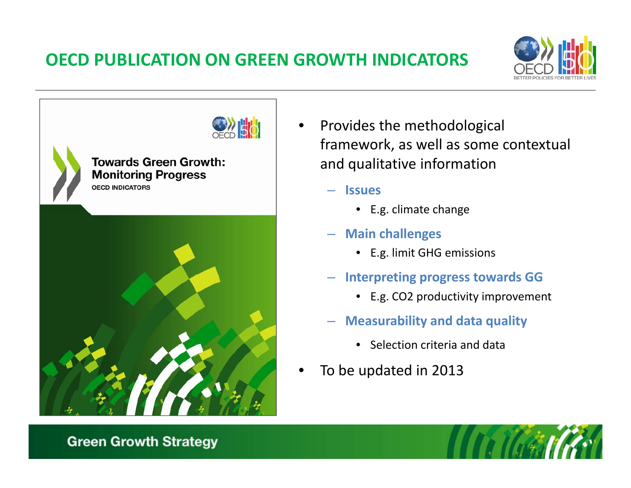### **OECD PUBLICATION ON GREEN GROWTH INDICATORS**





- •• Provides the methodological framework, as well as some contextual and qualitative information
	- **Issues**
		- E.g. climate change
	- **Main challenges**
		- E.g. limit GHG emissions
	- **I <sup>t</sup> ti <sup>n</sup> erpreting progress <sup>t</sup> d owar <sup>s</sup> GG**
		- E.g. CO2 productivity improvement
	- **Measurability and data quality**
		- Selection criteria and data
- •• To be updated in 2013

#### **Green Growth Strategy**

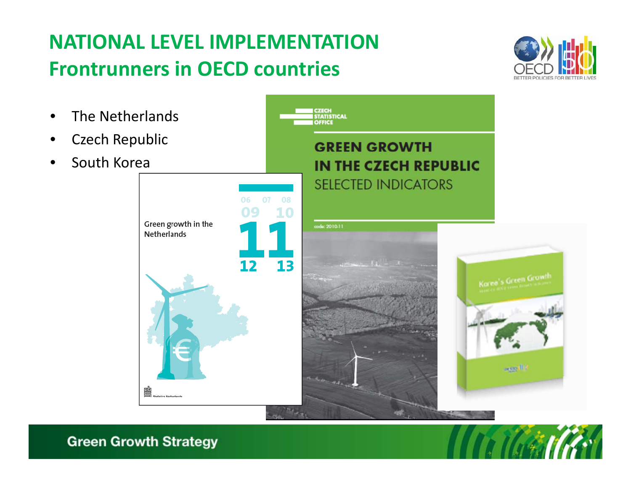## **NATIONAL LEVEL IMPLEMENTATIONFrontrunners in OECD countries**





**Green Growth Strategy** 

•

•

•

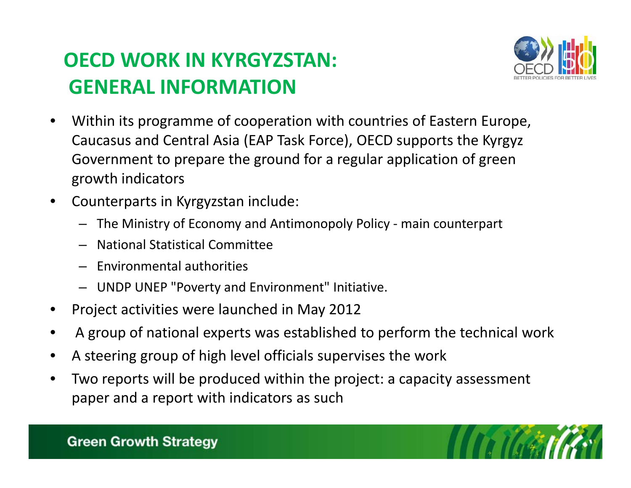## **OECD WORK IN KYRGYZSTAN: GENERAL INFORMATION**



- • Within its programme of cooperation with countries of Eastern Europe, Caucasus and Central Asia (EAP Task Force), OECD supports the Kyrgyz Government to prepare the ground for <sup>a</sup> regular application of green growth indicators
- • Counterparts in Kyrgyzstan include:
	- The Ministry of Economy and Antimonopoly Policy ‐ main counterpart
	- National Statistical Committee
	- Environmental authorities
	- UNDP UNEP "Poverty and Environment" Initiative.
- •Project activities were launched in May 2012
- •A group of national experts was established to perform the technical work
- •A steering group of high level officials supervises the work
- • Two reports will be produced within the project: <sup>a</sup> capacity assessment paper and <sup>a</sup> report with indicators as such



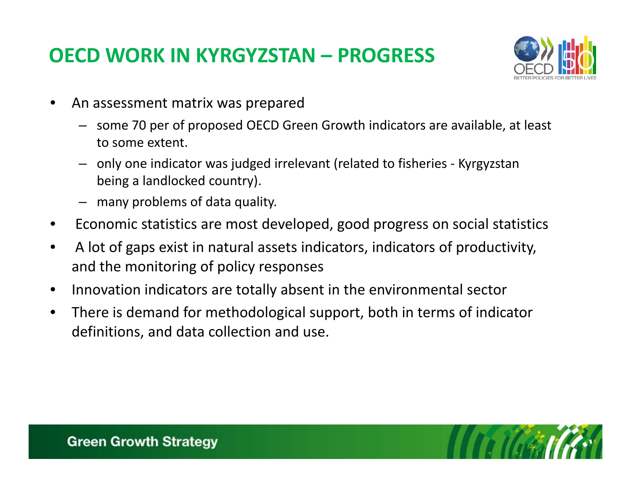### **OECD WORK IN KYRGYZSTAN – PROGRESS**



- • An assessment matrix was prepared
	- some 70 per of proposed OECD Green Growth indicators are available, at least to some extent.
	- only one indicator was judged irrelevant (related to fisheries ‐ Kyrgyzstan being <sup>a</sup> landlocked country).
	- many problems of data quality.
- •**•** Economic statistics are most developed, good progress on social statistics
- $\bullet$  A lot of gaps exist in natural assets indicators, indicators of productivity, and the monitoring of policy responses
- •• Innovation indicators are totally absent in the environmental sector
- $\bullet$  There is demand for methodological support, both in terms of indicator definitions, and data collection and use.

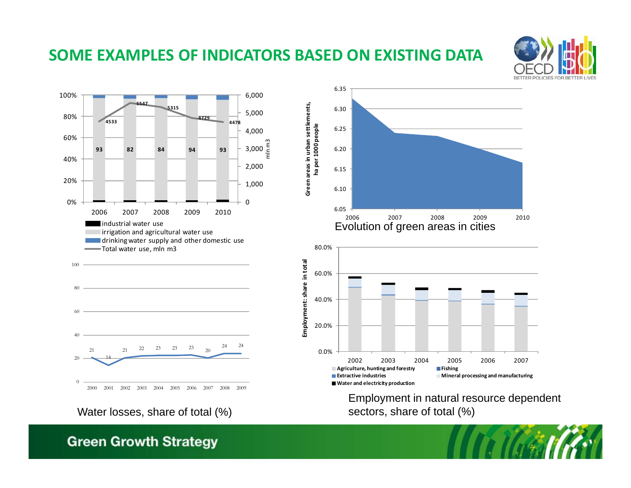#### **SOME EXAMPLES OF INDICATORS BASED ON EXISTING DATA**

**Green areas in**

**u**





Water losses, share of total (%)

#### **Green Growth Strategy**





Employment in natural resource dependent<br>sectors, share of total (%)

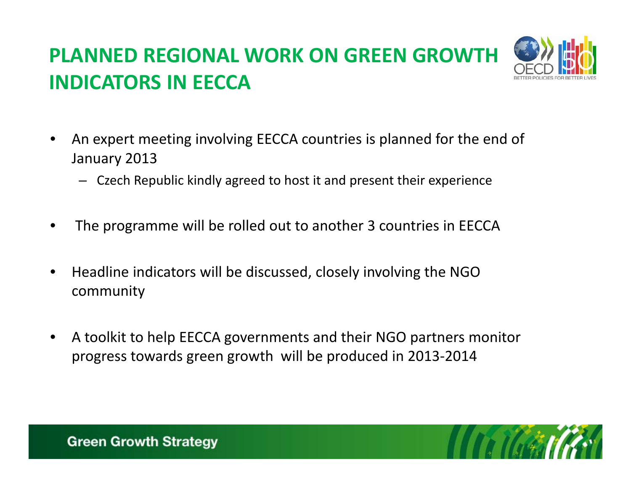# **PLANNED REGIONAL WORK ON GREEN GROWTH INDICATORS IN EECCA**



- • An expert meeting involving EECCA countries is planned for the end of January 2013
	- Czech Republic kindly agreed to host it and present their experience
- •The programme will be rolled out to another 3 countries in EECCA
- • $\bullet$  Headline indicators will be discussed, closely involving the NGO community
- • A toolkit to help EECCA governments and their NGO partners monitor progress towards green growth will be produced in 2013‐2014

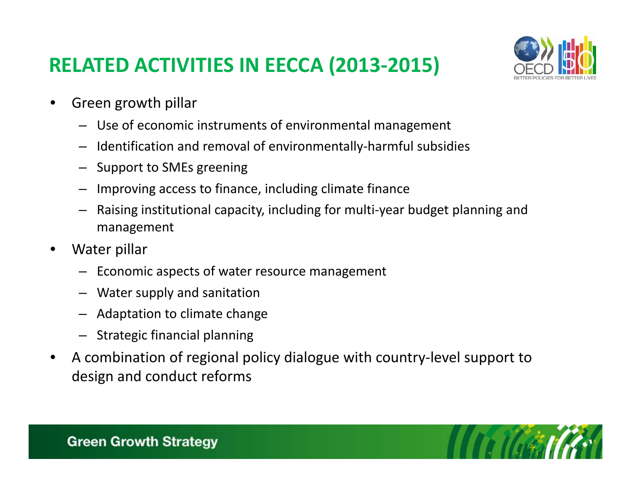### **RELATED ACTIVITIES IN EECCA (2013‐2015)**



- •• Green growth pillar
	- Use of economic instruments of environmental management
	- Identification and removal of environmentally‐harmful subsidies
	- Support to SMEs greening
	- Improving access to finance, including climate finance
	- Raising institutional capacity, including for multi‐year budget planning and management
- • Water pillar
	- Economic aspects of water resource management
	- Water supply and sanitation
	- Adaptation to climate change
	- Strategic financial planning
- •● A combination of regional policy dialogue with country-level support to design and conduct reforms

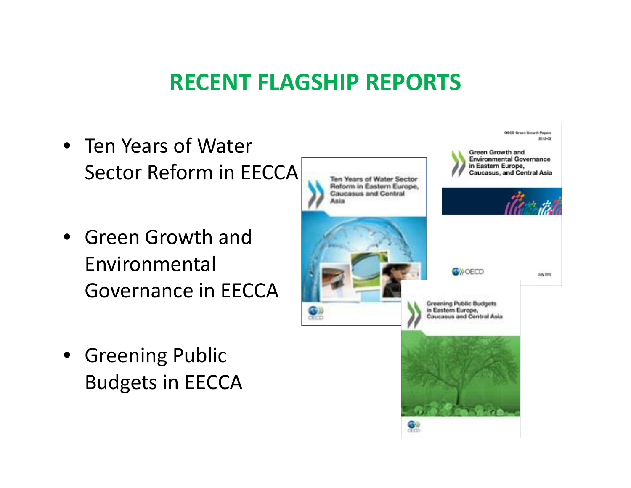## **RECENT FLAGSHIP REPORTS**

OECO Green Growth Papers 2012-02 • Ten Years of Water **Green Growth and Environmental Governance** in Eastern Europe, Sector Reform in EECCA **Caucasus, and Central Asia** Ten Years of Water Sector Reform in Eastern Europe. Caucasus and Central **Kalim** • Green Growth and Environmental**OWOECD** July 2012 Governance in EECCA**Greening Public Budgets** in Eastern Europe. **Coucasus and Central Asia** • Greening Public Budgets in EECCA